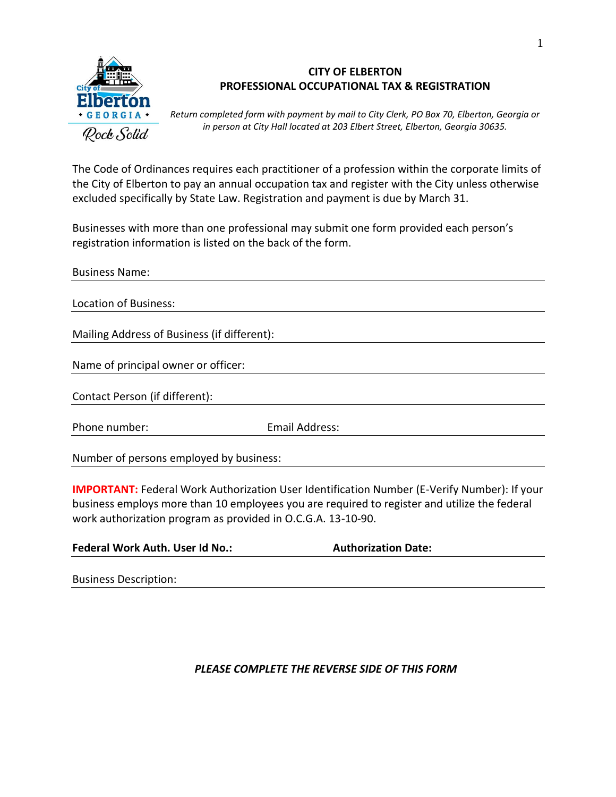

# **CITY OF ELBERTON PROFESSIONAL OCCUPATIONAL TAX & REGISTRATION**

*Return completed form with payment by mail to City Clerk, PO Box 70, Elberton, Georgia or in person at City Hall located at 203 Elbert Street, Elberton, Georgia 30635.*

The Code of Ordinances requires each practitioner of a profession within the corporate limits of the City of Elberton to pay an annual occupation tax and register with the City unless otherwise excluded specifically by State Law. Registration and payment is due by March 31.

Businesses with more than one professional may submit one form provided each person's registration information is listed on the back of the form.

| <b>Business Name:</b>                       |                |  |
|---------------------------------------------|----------------|--|
| Location of Business:                       |                |  |
|                                             |                |  |
| Mailing Address of Business (if different): |                |  |
|                                             |                |  |
| Name of principal owner or officer:         |                |  |
| Contact Person (if different):              |                |  |
| Phone number:                               | Email Address: |  |
|                                             |                |  |
| Number of persons employed by business:     |                |  |

**IMPORTANT:** Federal Work Authorization User Identification Number (E-Verify Number): If your business employs more than 10 employees you are required to register and utilize the federal work authorization program as provided in O.C.G.A. 13-10-90.

| <b>Federal Work Auth. User Id No.:</b> | <b>Authorization Date:</b> |
|----------------------------------------|----------------------------|
|----------------------------------------|----------------------------|

|  | <b>Business Description:</b> |
|--|------------------------------|
|--|------------------------------|

# *PLEASE COMPLETE THE REVERSE SIDE OF THIS FORM*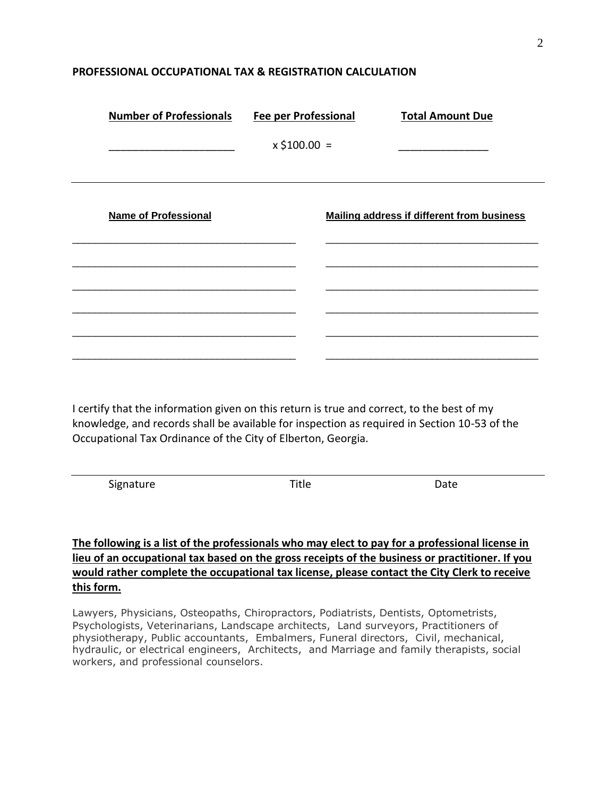### **PROFESSIONAL OCCUPATIONAL TAX & REGISTRATION CALCULATION**

| <b>Number of Professionals</b> | <b>Fee per Professional</b> | <b>Total Amount Due</b>                           |
|--------------------------------|-----------------------------|---------------------------------------------------|
|                                | $x$ \$100.00 =              |                                                   |
| <b>Name of Professional</b>    |                             | <b>Mailing address if different from business</b> |
|                                |                             |                                                   |
|                                |                             |                                                   |

I certify that the information given on this return is true and correct, to the best of my knowledge, and records shall be available for inspection as required in Section 10-53 of the Occupational Tax Ordinance of the City of Elberton, Georgia.

Signature Date Date Date

## **The following is a list of the professionals who may elect to pay for a professional license in lieu of an occupational tax based on the gross receipts of the business or practitioner. If you would rather complete the occupational tax license, please contact the City Clerk to receive this form.**

Lawyers, Physicians, Osteopaths, Chiropractors, Podiatrists, Dentists, Optometrists, Psychologists, Veterinarians, Landscape architects, Land surveyors, Practitioners of physiotherapy, Public accountants, Embalmers, Funeral directors, Civil, mechanical, hydraulic, or electrical engineers, Architects, and Marriage and family therapists, social workers, and professional counselors.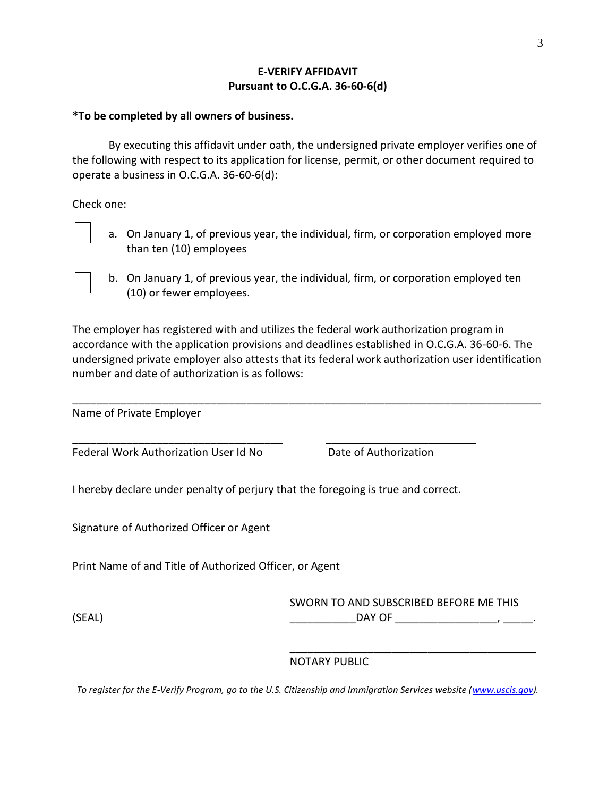### **E-VERIFY AFFIDAVIT Pursuant to O.C.G.A. 36-60-6(d)**

### **\*To be completed by all owners of business.**

By executing this affidavit under oath, the undersigned private employer verifies one of the following with respect to its application for license, permit, or other document required to operate a business in O.C.G.A. 36-60-6(d):

Check one:

- a. On January 1, of previous year, the individual, firm, or corporation employed more than ten (10) employees
- b. On January 1, of previous year, the individual, firm, or corporation employed ten (10) or fewer employees.

The employer has registered with and utilizes the federal work authorization program in accordance with the application provisions and deadlines established in O.C.G.A. 36-60-6. The undersigned private employer also attests that its federal work authorization user identification number and date of authorization is as follows:

\_\_\_\_\_\_\_\_\_\_\_\_\_\_\_\_\_\_\_\_\_\_\_\_\_\_\_\_\_\_\_\_\_\_\_\_\_\_\_\_\_\_\_\_\_\_\_\_\_\_\_\_\_\_\_\_\_\_\_\_\_\_\_\_\_\_\_\_\_\_\_\_\_\_\_\_\_\_

Name of Private Employer

Federal Work Authorization User Id No Date of Authorization

I hereby declare under penalty of perjury that the foregoing is true and correct.

\_\_\_\_\_\_\_\_\_\_\_\_\_\_\_\_\_\_\_\_\_\_\_\_\_\_\_\_\_\_\_\_\_\_\_ \_\_\_\_\_\_\_\_\_\_\_\_\_\_\_\_\_\_\_\_\_\_\_\_\_

Signature of Authorized Officer or Agent

Print Name of and Title of Authorized Officer, or Agent

SWORN TO AND SUBSCRIBED BEFORE ME THIS (SEAL) \_\_\_\_\_\_\_\_\_\_\_DAY OF \_\_\_\_\_\_\_\_\_\_\_\_\_\_\_\_\_, \_\_\_\_\_.

\_\_\_\_\_\_\_\_\_\_\_\_\_\_\_\_\_\_\_\_\_\_\_\_\_\_\_\_\_\_\_\_\_\_\_\_\_\_\_\_\_

#### NOTARY PUBLIC

*To register for the E-Verify Program, go to the U.S. Citizenship and Immigration Services website [\(www.uscis.gov\)](http://www.uscis.gov/).*